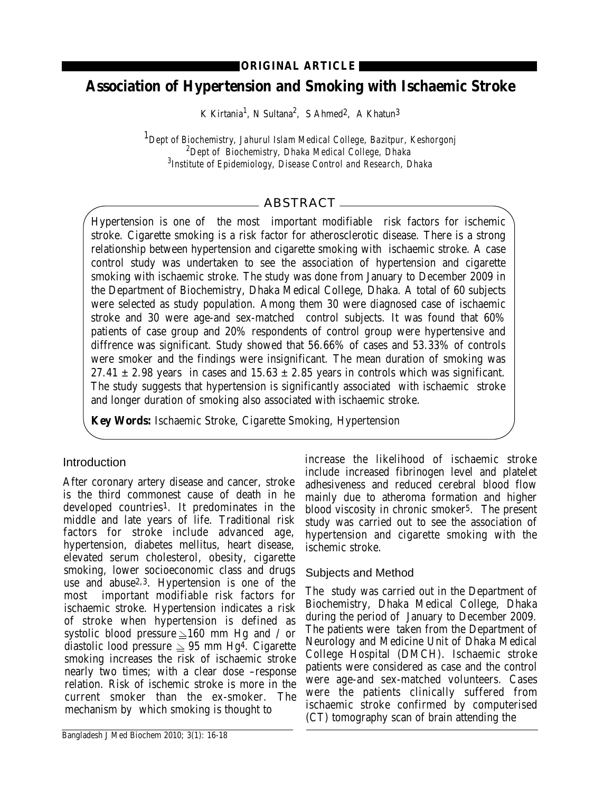### **ORIGINAL ARTICLE**

# **Association of Hypertension and Smoking with Ischaemic Stroke**

K Kirtania<sup>1</sup>, N Sultana<sup>2</sup>, S Ahmed<sup>2</sup>, A Khatun<sup>3</sup>

*1Dept of Biochemistry, Jahurul Islam Medical College, Bazitpur, Keshorgonj 2 Dept of Biochemistry, Dhaka Medical College, Dhaka 3 Institute of Epidemiology, Disease Control and Research, Dhaka*

## ABSTRACT

Hypertension is one of the most important modifiable risk factors for ischemic stroke. Cigarette smoking is a risk factor for atherosclerotic disease. There is a strong relationship between hypertension and cigarette smoking with ischaemic stroke. A case control study was undertaken to see the association of hypertension and cigarette smoking with ischaemic stroke. The study was done from January to December 2009 in the Department of Biochemistry, Dhaka Medical College, Dhaka. A total of 60 subjects were selected as study population. Among them 30 were diagnosed case of ischaemic stroke and 30 were age-and sex-matched control subjects. It was found that 60% patients of case group and 20% respondents of control group were hypertensive and diffrence was significant. Study showed that 56.66% of cases and 53.33% of controls were smoker and the findings were insignificant. The mean duration of smoking was  $27.41 \pm 2.98$  years in cases and  $15.63 \pm 2.85$  years in controls which was significant. The study suggests that hypertension is significantly associated with ischaemic stroke and longer duration of smoking also associated with ischaemic stroke.

**Key Words:** Ischaemic Stroke, Cigarette Smoking, Hypertension

## Introduction

After coronary artery disease and cancer, stroke is the third commonest cause of death in he developed countries1. It predominates in the middle and late years of life. Traditional risk factors for stroke include advanced age, hypertension, diabetes mellitus, heart disease, elevated serum cholesterol, obesity, cigarette smoking, lower socioeconomic class and drugs use and abuse2,3. Hypertension is one of the most important modifiable risk factors for ischaemic stroke. Hypertension indicates a risk of stroke when hypertension is defined as systolic blood pressure  $\geq 160$  mm Hg and / or diastolic lood pressure  $\geq 95$  mm Hg<sup>4</sup>. Cigarette smoking increases the risk of ischaemic stroke nearly two times; with a clear dose –response relation. Risk of ischemic stroke is more in the current smoker than the ex-smoker. The mechanism by which smoking is thought to

increase the likelihood of ischaemic stroke include increased fibrinogen level and platelet adhesiveness and reduced cerebral blood flow mainly due to atheroma formation and higher blood viscosity in chronic smoker5. The present study was carried out to see the association of hypertension and cigarette smoking with the ischemic stroke.

### Subjects and Method

The study was carried out in the Department of Biochemistry, Dhaka Medical College, Dhaka during the period of January to December 2009. The patients were taken from the Department of Neurology and Medicine Unit of Dhaka Medical College Hospital (DMCH). Ischaemic stroke patients were considered as case and the control were age-and sex-matched volunteers. Cases were the patients clinically suffered from ischaemic stroke confirmed by computerised (CT) tomography scan of brain attending the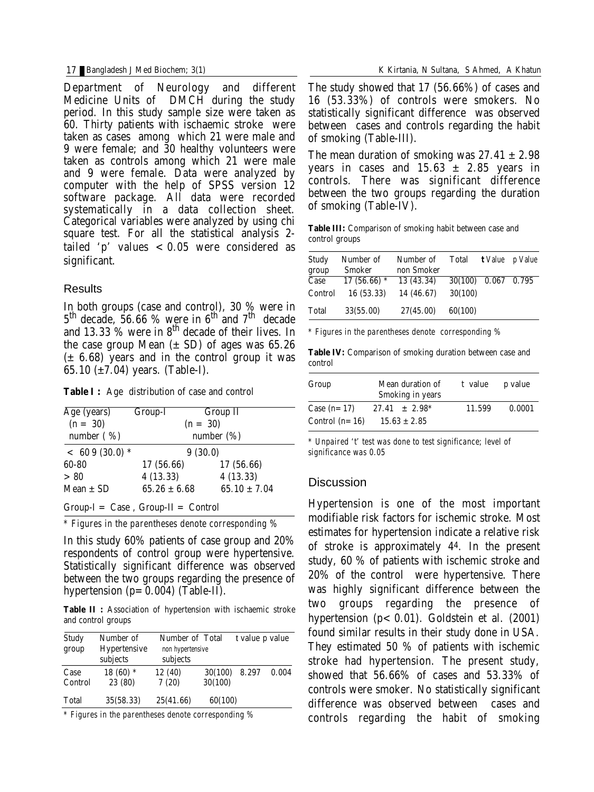Department of Neurology and different Medicine Units of DMCH during the study period. In this study sample size were taken as 60. Thirty patients with ischaemic stroke were taken as cases among which 21 were male and 9 were female; and 30 healthy volunteers were taken as controls among which 21 were male and 9 were female. Data were analyzed by computer with the help of SPSS version 12 software package. All data were recorded systematically in a data collection sheet. Categorical variables were analyzed by using chi square test. For all the statistical analysis 2 tailed 'p' values  $< 0.05$  were considered as significant.

#### **Results**

In both groups (case and control), 30 % were in  $5<sup>th</sup>$  decade, 56.66 % were in 6<sup>th</sup> and 7<sup>th</sup> decade and 13.33  $\%$  were in  $8<sup>th</sup>$  decade of their lives. In the case group Mean  $(\pm SD)$  of ages was 65.26  $(\pm 6.68)$  years and in the control group it was 65.10  $(\pm 7.04)$  years. (Table-I).

**Table I :** Age distribution of case and control

| Age (years)     | Group-I          | <b>Group II</b>  |  |
|-----------------|------------------|------------------|--|
| $(n = 30)$      | $(n = 30)$       |                  |  |
| number $( %)$   | number $(\%)$    |                  |  |
| $< 609(30.0)$ * |                  | 9(30.0)          |  |
| 60-80           | 17 (56.66)       | 17 (56.66)       |  |
| > 80            | 4(13.33)         | 4(13.33)         |  |
| Mean $\pm$ SD   | $65.26 \pm 6.68$ | $65.10 \pm 7.04$ |  |

 $Group-I = Case$ ,  $Group-II = Control$ 

*\* Figures in the parentheses denote corresponding %*

In this study 60% patients of case group and 20% respondents of control group were hypertensive. Statistically significant difference was observed between the two groups regarding the presence of hypertension  $(p=0.004)$  (Table-II).

**Table II :** Association of hypertension with ischaemic stroke and control groups

| <b>Study</b><br>group | Number of<br><b>Hypertensive</b><br>subjects | <b>Number of Total</b><br>non hypertensive<br>subjects |                           | t value p value |       |
|-----------------------|----------------------------------------------|--------------------------------------------------------|---------------------------|-----------------|-------|
| Case<br>Control       | $18(60)$ *<br>23 (80)                        | 12 (40)<br>7(20)                                       | <b>30(100)</b><br>30(100) | 8.297           | 0.004 |
| <b>Total</b>          | 35(58.33)                                    | 25(41.66)                                              | 60(100)                   |                 |       |

*\* Figures in the parentheses denote corresponding %*

The study showed that 17 (56.66%) of cases and 16 (53.33%) of controls were smokers. No statistically significant difference was observed between cases and controls regarding the habit of smoking (Table-III).

The mean duration of smoking was  $27.41 \pm 2.98$ years in cases and  $15.63 \pm 2.85$  years in controls. There was significant difference between the two groups regarding the duration of smoking (Table-IV).

**Table III:** Comparison of smoking habit between case and control groups

| <b>Study</b> | Number of     | Number of  | Total   |               | t Value p Value |
|--------------|---------------|------------|---------|---------------|-----------------|
| group        | Smoker        | non Smoker |         |               |                 |
| Case         | $17(56.66)$ * | 13 (43.34) | 30(100) | $0.067$ 0.795 |                 |
| Control      | 16 (53.33)    | 14 (46.67) | 30(100) |               |                 |
| <b>Total</b> | 33(55.00)     | 27(45.00)  | 60(100) |               |                 |

*\* Figures in the parentheses denote corresponding %*

**Table IV:** Comparison of smoking duration between case and control

| Group            | Mean duration of<br><b>Smoking in years</b> |        | p value |
|------------------|---------------------------------------------|--------|---------|
| Case $(n=17)$    | $27.41 \pm 2.98^*$                          | 11.599 | 0.0001  |
| Control $(n=16)$ | $15.63 \pm 2.85$                            |        |         |

*\* Unpaired 't' test was done to test significance; level of significance was 0.05*

#### **Discussion**

Hypertension is one of the most important modifiable risk factors for ischemic stroke. Most estimates for hypertension indicate a relative risk of stroke is approximately 44. In the present study, 60 % of patients with ischemic stroke and 20% of the control were hypertensive. There was highly significant difference between the two groups regarding the presence of hypertension  $(p < 0.01)$ . Goldstein et al.  $(2001)$ found similar results in their study done in USA. They estimated 50 % of patients with ischemic stroke had hypertension. The present study, showed that 56.66% of cases and 53.33% of controls were smoker. No statistically significant difference was observed between cases and controls regarding the habit of smoking